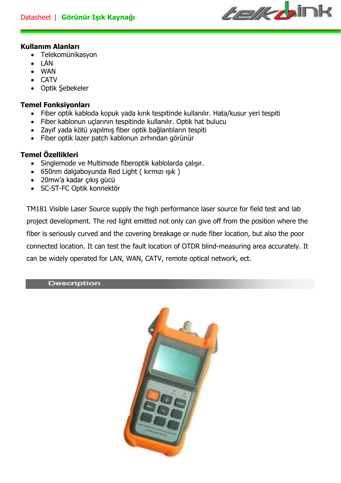

# **Kullanım Alanları**

- Telekomünikasyon
- LAN
- WAN
- CATV
- Optik Şebekeler

# **Temel Fonksiyonları**

- Fiber optik kabloda kopuk yada kırık tespitinde kullanılır. Hata/kusur yeri tespiti
- Fiber kablonun uçlarının tespitinde kullanılır. Optik hat bulucu
- Zayıf yada kötü yapılmış fiber optik bağlantıların tespiti
- Fiber optik lazer patch kablonun zırhından görünür

# **Temel Özellikleri**

- Singlemode ve Multimode fiberoptik kablolarda çalışır.
- 650nm dalgaboyunda Red Light ( kırmızı ışık )
- 20mw'a kadar çıkış gücü
- SC-ST-FC Optik konnektör

TM181 Visible Laser Source supply the high performance laser source for field test and lab project development. The red light emitted not only can give off from the position where the fiber is seriously curved and the covering breakage or nude fiber location, but also the poor connected location. It can test the fault location of OTDR blind-measuring area accurately. It can be widely operated for LAN, WAN, CATV, remote optical network, ect.

Description

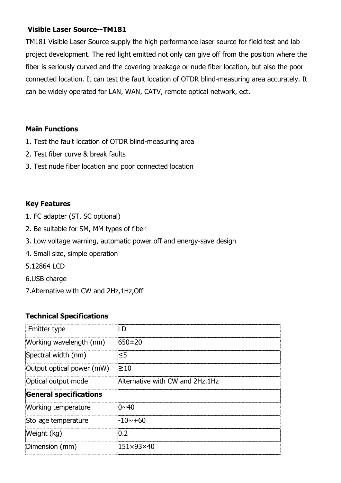## **Visible Laser Source--TM181**

TM181 Visible Laser Source supply the high performance laser source for field test and lab project development. The red light emitted not only can give off from the position where the fiber is seriously curved and the covering breakage or nude fiber location, but also the poor connected location. It can test the fault location of OTDR blind-measuring area accurately. It can be widely operated for LAN, WAN, CATV, remote optical network, ect.

#### **Main Functions**

- 1. Test the fault location of OTDR blind-measuring area
- 2. Test fiber curve & break faults
- 3. Test nude fiber location and poor connected location

## **Key Features**

- 1. FC adapter (ST, SC optional)
- 2. Be suitable for SM, MM types of fiber
- 3. Low voltage warning, automatic power off and energy-save design
- 4. Small size, simple operation
- 5.12864 LCD
- 6.USB charge
- 7.Alternative with CW and 2Hz,1Hz,Off

## **Technical Specifications**

| Emitter type                  |                                 |
|-------------------------------|---------------------------------|
| Working wavelength (nm)       | $650\pm20$                      |
| Spectral width (nm)           | ≤5                              |
| Output optical power (mW)     | $\geq 10$                       |
| Optical output mode           | Alternative with CW and 2Hz.1Hz |
| <b>General specifications</b> |                                 |
| Working temperature           | $0 \sim 40$                     |
| Sto age temperature           | -10∼+60                         |
| Weight (kg)                   | 0.2                             |
| Dimension (mm)                | $151\times93\times40$           |